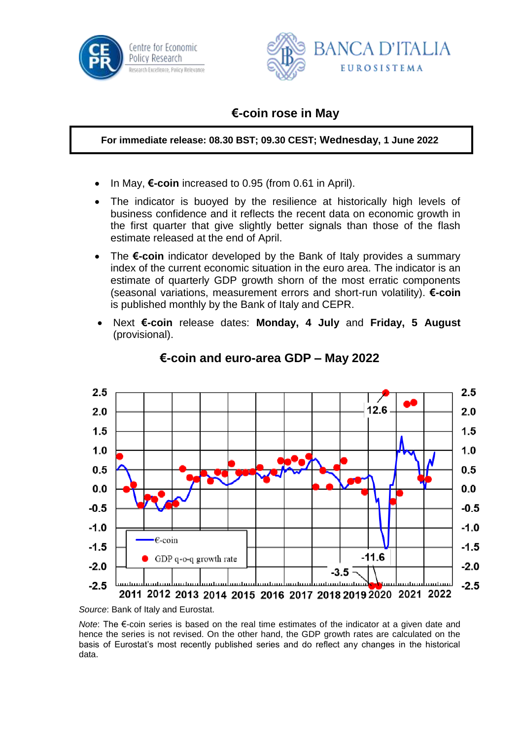



## **€-coin rose in May**

**For immediate release: 08.30 BST; 09.30 CEST; Wednesday, 1 June 2022**

- In May, **€-coin** increased to 0.95 (from 0.61 in April).
- The indicator is buoyed by the resilience at historically high levels of business confidence and it reflects the recent data on economic growth in the first quarter that give slightly better signals than those of the flash estimate released at the end of April.
- The **€-coin** indicator developed by the Bank of Italy provides a summary index of the current economic situation in the euro area. The indicator is an estimate of quarterly GDP growth shorn of the most erratic components (seasonal variations, measurement errors and short-run volatility). **€-coin** is published monthly by the Bank of Italy and CEPR.
- Next **€-coin** release dates: **Monday, 4 July** and **Friday, 5 August** (provisional).



## **€-coin and euro-area GDP – May 2022**

*Source*: Bank of Italy and Eurostat.

*Note*: The €-coin series is based on the real time estimates of the indicator at a given date and hence the series is not revised. On the other hand, the GDP growth rates are calculated on the basis of Eurostat's most recently published series and do reflect any changes in the historical data.